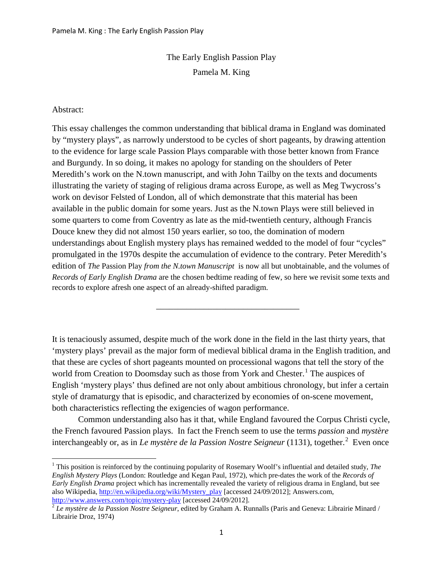The Early English Passion Play Pamela M. King

## Abstract:

This essay challenges the common understanding that biblical drama in England was dominated by "mystery plays", as narrowly understood to be cycles of short pageants, by drawing attention to the evidence for large scale Passion Plays comparable with those better known from France and Burgundy. In so doing, it makes no apology for standing on the shoulders of Peter Meredith's work on the N.town manuscript, and with John Tailby on the texts and documents illustrating the variety of staging of religious drama across Europe, as well as Meg Twycross's work on devisor Felsted of London, all of which demonstrate that this material has been available in the public domain for some years. Just as the N.town Plays were still believed in some quarters to come from Coventry as late as the mid-twentieth century, although Francis Douce knew they did not almost 150 years earlier, so too, the domination of modern understandings about English mystery plays has remained wedded to the model of four "cycles" promulgated in the 1970s despite the accumulation of evidence to the contrary. Peter Meredith's edition of *The* Passion Play *from the N.town Manuscript* is now all but unobtainable, and the volumes of *Records of Early English Drama* are the chosen bedtime reading of few, so here we revisit some texts and records to explore afresh one aspect of an already-shifted paradigm.

It is tenaciously assumed, despite much of the work done in the field in the last thirty years, that 'mystery plays' prevail as the major form of medieval biblical drama in the English tradition, and that these are cycles of short pageants mounted on processional wagons that tell the story of the world from Creation to Doomsday such as those from York and Chester.<sup>[1](#page-0-0)</sup> The auspices of English 'mystery plays' thus defined are not only about ambitious chronology, but infer a certain style of dramaturgy that is episodic, and characterized by economies of on-scene movement, both characteristics reflecting the exigencies of wagon performance.

\_\_\_\_\_\_\_\_\_\_\_\_\_\_\_\_\_\_\_\_\_\_\_\_\_\_\_\_\_\_\_\_\_

Common understanding also has it that, while England favoured the Corpus Christi cycle, the French favoured Passion plays. In fact the French seem to use the terms *passion* and *mystère* interchangeably or, as in *Le mystère de la Passion Nostre Seigneur* (1131), together.<sup>[2](#page-0-1)</sup> Even once

<span id="page-0-0"></span><sup>&</sup>lt;sup>1</sup> This position is reinforced by the continuing popularity of Rosemary Woolf's influential and detailed study, *The English Mystery Plays* (London: Routledge and Kegan Paul, 1972), which pre-dates the work of the *Records of Early English Drama* project which has incrementally revealed the variety of religious drama in England, but see also Wikipedia, [http://en.wikipedia.org/wiki/Mystery\\_play](http://en.wikipedia.org/wiki/Mystery_play) [accessed 24/09/2012]; Answers.com, <http://www.answers.com/topic/mystery-play> [accessed 24/09/2012]. <sup>2</sup> *Le mystère de la Passion Nostre Seigneur*, edited by Graham A. Runnalls (Paris and Geneva: Librairie Minard /

<span id="page-0-1"></span>Librairie Droz, 1974)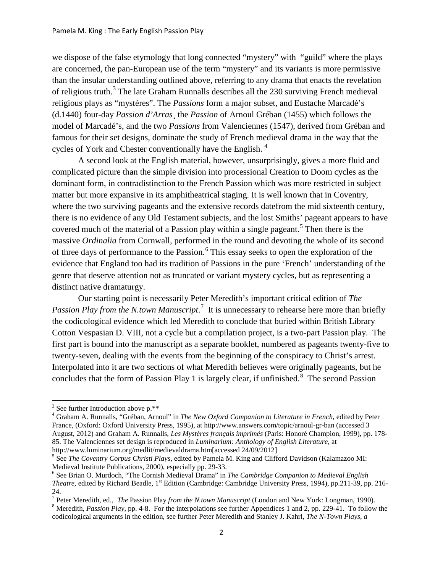we dispose of the false etymology that long connected "mystery" with "guild" where the plays are concerned, the pan-European use of the term "mystery" and its variants is more permissive than the insular understanding outlined above, referring to any drama that enacts the revelation of religious truth.<sup>[3](#page-1-0)</sup> The late Graham Runnalls describes all the 230 surviving French medieval religious plays as "mystères". The *Passions* form a major subset, and Eustache Marcadé's (d.1440) four-day *Passion d'Arras¸* the *Passion* of Arnoul Gréban (1455) which follows the model of Marcadé's, and the two *Passions* from Valenciennes (1547), derived from Gréban and famous for their set designs, dominate the study of French medieval drama in the way that the cycles of York and Chester conventionally have the English.<sup>[4](#page-1-1)</sup>

A second look at the English material, however, unsurprisingly, gives a more fluid and complicated picture than the simple division into processional Creation to Doom cycles as the dominant form, in contradistinction to the French Passion which was more restricted in subject matter but more expansive in its amphitheatrical staging. It is well known that in Coventry, where the two surviving pageants and the extensive records datefrom the mid sixteenth century, there is no evidence of any Old Testament subjects, and the lost Smiths' pageant appears to have covered much of the material of a Passion play within a single pageant.<sup>[5](#page-1-2)</sup> Then there is the massive *Ordinalia* from Cornwall, performed in the round and devoting the whole of its second of three days of performance to the Passion. [6](#page-1-3) This essay seeks to open the exploration of the evidence that England too had its tradition of Passions in the pure 'French' understanding of the genre that deserve attention not as truncated or variant mystery cycles, but as representing a distinct native dramaturgy.

Our starting point is necessarily Peter Meredith's important critical edition of *The*  Passion Play from the N.town Manuscript.<sup>[7](#page-1-4)</sup> It is unnecessary to rehearse here more than briefly the codicological evidence which led Meredith to conclude that buried within British Library Cotton Vespasian D. VIII, not a cycle but a compilation project, is a two-part Passion play. The first part is bound into the manuscript as a separate booklet, numbered as pageants twenty-five to twenty-seven, dealing with the events from the beginning of the conspiracy to Christ's arrest. Interpolated into it are two sections of what Meredith believes were originally pageants, but he concludes that the form of Passion Play 1 is largely clear, if unfinished. $8$  The second Passion

<span id="page-1-1"></span><span id="page-1-0"></span><sup>&</sup>lt;sup>3</sup> See further Introduction above p.\*\*<br><sup>4</sup> Graham A. Runnalls, "Gréban, Arnoul" in *The New Oxford Companion to Literature in French*, edited by Peter France, (Oxford: Oxford University Press, 1995), at http://www.answers.com/topic/arnoul-gr-ban (accessed 3 August, 2012) and Graham A. Runnalls, *Les Mystères français imprimés* (Paris: Honoré Champion, 1999), pp. 178- 85. The Valenciennes set design is reproduced in *Luminarium: Anthology of English Literature*, at http://www.luminarium.org/medlit/medievaldrama.htm[accessed 24/09/2012]

<span id="page-1-2"></span><sup>&</sup>lt;sup>5</sup> See *The Coventry Corpus Christi Plays*, edited by Pamela M. King and Clifford Davidson (Kalamazoo MI: Medieval Institute Publications, 2000), especially pp. 29-33.

<span id="page-1-3"></span><sup>&</sup>lt;sup>6</sup> See Brian O. Murdoch, "The Cornish Medieval Drama" in *The Cambridge Companion to Medieval English Theatre*, edited by Richard Beadle, 1<sup>st</sup> Edition (Cambridge: Cambridge University Press, 1994), pp.211-39, pp. 216-24.

<span id="page-1-5"></span>

<span id="page-1-4"></span><sup>&</sup>lt;sup>7</sup> Peter Meredith, ed., *The Passion Play from the N.town Manuscript* (London and New York: Longman, 1990).<br><sup>8</sup> Meredith, *Passion Play*, pp. 4-8. For the interpolations see further Appendices 1 and 2, pp. 229-41. To fol codicological arguments in the edition, see further Peter Meredith and Stanley J. Kahrl, *The N-Town Plays, a*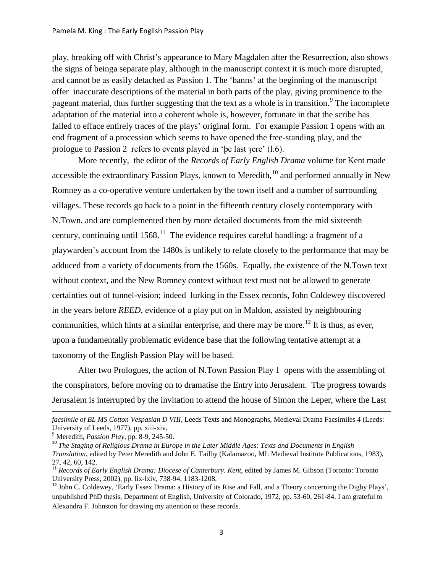play, breaking off with Christ's appearance to Mary Magdalen after the Resurrection, also shows the signs of beinga separate play, although in the manuscript context it is much more disrupted, and cannot be as easily detached as Passion 1. The 'banns' at the beginning of the manuscript offer inaccurate descriptions of the material in both parts of the play, giving prominence to the pageant material, thus further suggesting that the text as a whole is in transition.<sup>[9](#page-2-0)</sup> The incomplete adaptation of the material into a coherent whole is, however, fortunate in that the scribe has failed to efface entirely traces of the plays' original form. For example Passion 1 opens with an end fragment of a procession which seems to have opened the free-standing play, and the prologue to Passion 2 refers to events played in 'pe last 3ere' (1.6).

More recently, the editor of the *Records of Early English Drama* volume for Kent made accessible the extraordinary Passion Plays, known to Meredith, $10$  and performed annually in New Romney as a co-operative venture undertaken by the town itself and a number of surrounding villages. These records go back to a point in the fifteenth century closely contemporary with N.Town, and are complemented then by more detailed documents from the mid sixteenth century, continuing until  $1568$ <sup>[11](#page-2-2)</sup>. The evidence requires careful handling: a fragment of a playwarden's account from the 1480s is unlikely to relate closely to the performance that may be adduced from a variety of documents from the 1560s. Equally, the existence of the N.Town text without context, and the New Romney context without text must not be allowed to generate certainties out of tunnel-vision; indeed lurking in the Essex records, John Coldewey discovered in the years before *REED*, evidence of a play put on in Maldon, assisted by neighbouring communities, which hints at a similar enterprise, and there may be more.<sup>[12](#page-2-3)</sup> It is thus, as ever, upon a fundamentally problematic evidence base that the following tentative attempt at a taxonomy of the English Passion Play will be based.

After two Prologues, the action of N.Town Passion Play 1 opens with the assembling of the conspirators, before moving on to dramatise the Entry into Jerusalem. The progress towards Jerusalem is interrupted by the invitation to attend the house of Simon the Leper, where the Last

l

*facsimile of BL MS Cotton Vespasian D VIII*, Leeds Texts and Monographs, Medieval Drama Facsimiles 4 (Leeds: University of Leeds, 1977), pp. xiii-xiv.

<span id="page-2-1"></span><span id="page-2-0"></span><sup>&</sup>lt;sup>9</sup> Meredith, *Passion Play*, pp. 8-9, 245-50.<br><sup>10</sup> *The Staging of Religious Drama in Europe in the Later Middle Ages: Texts and Documents in English Translation*, edited by Peter Meredith and John E. Tailby (Kalamazoo, MI: Medieval Institute Publications, 1983), 27, 42, 60, 142.

<span id="page-2-2"></span><sup>&</sup>lt;sup>11</sup> *Records of Early English Drama: Diocese of Canterbury. Kent*, edited by James M. Gibson (Toronto: Toronto University Press, 2002), pp. lix-lxiv, 738-94, 1183-1208. **<sup>12</sup>** John C. Coldewey, 'Early Essex Drama: a History of its Rise and Fall, and a Theory concerning the Digby Plays',

<span id="page-2-3"></span>unpublished PhD thesis, Department of English, University of Colorado, 1972, pp. 53-60, 261-84. I am grateful to Alexandra F. Johnston for drawing my attention to these records.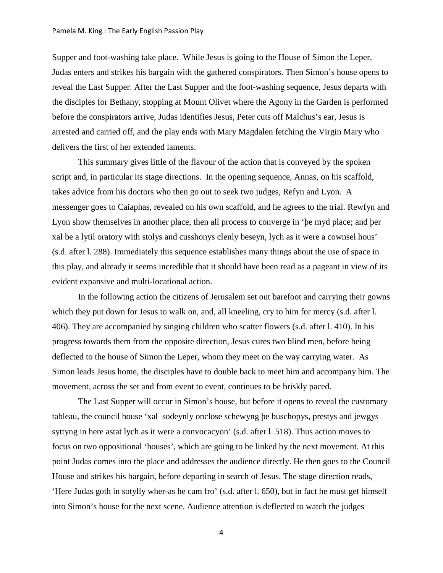Supper and foot-washing take place. While Jesus is going to the House of Simon the Leper, Judas enters and strikes his bargain with the gathered conspirators. Then Simon's house opens to reveal the Last Supper. After the Last Supper and the foot-washing sequence, Jesus departs with the disciples for Bethany, stopping at Mount Olivet where the Agony in the Garden is performed before the conspirators arrive, Judas identifies Jesus, Peter cuts off Malchus's ear, Jesus is arrested and carried off, and the play ends with Mary Magdalen fetching the Virgin Mary who delivers the first of her extended laments.

This summary gives little of the flavour of the action that is conveyed by the spoken script and, in particular its stage directions. In the opening sequence, Annas, on his scaffold, takes advice from his doctors who then go out to seek two judges, Refyn and Lyon. A messenger goes to Caiaphas, revealed on his own scaffold, and he agrees to the trial. Rewfyn and Lyon show themselves in another place, then all process to converge in 'þe myd place; and þer xal be a lytil oratory with stolys and cusshonys clenly beseyn, lych as it were a cownsel hous' (s.d. after l. 288). Immediately this sequence establishes many things about the use of space in this play, and already it seems incredible that it should have been read as a pageant in view of its evident expansive and multi-locational action.

In the following action the citizens of Jerusalem set out barefoot and carrying their gowns which they put down for Jesus to walk on, and, all kneeling, cry to him for mercy (s.d. after l. 406). They are accompanied by singing children who scatter flowers (s.d. after l. 410). In his progress towards them from the opposite direction, Jesus cures two blind men, before being deflected to the house of Simon the Leper, whom they meet on the way carrying water. As Simon leads Jesus home, the disciples have to double back to meet him and accompany him. The movement, across the set and from event to event, continues to be briskly paced.

The Last Supper will occur in Simon's house, but before it opens to reveal the customary tableau, the council house 'xal sodeynly onclose schewyng þe buschopys, prestys and jewgys syttyng in here astat lych as it were a convocacyon' (s.d. after l. 518). Thus action moves to focus on two oppositional 'houses', which are going to be linked by the next movement. At this point Judas comes into the place and addresses the audience directly. He then goes to the Council House and strikes his bargain, before departing in search of Jesus. The stage direction reads, 'Here Judas goth in sotylly wher-as he cam fro' (s.d. after l. 650), but in fact he must get himself into Simon's house for the next scene. Audience attention is deflected to watch the judges

4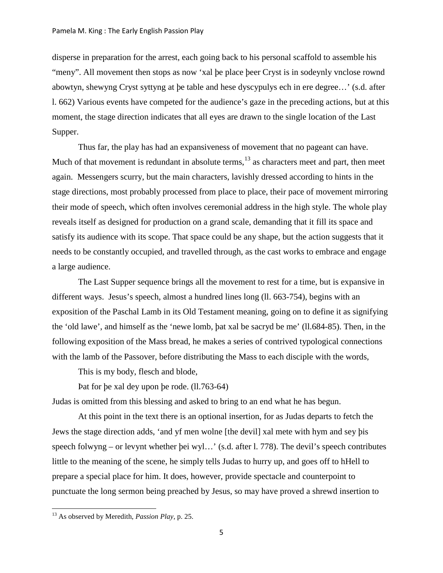disperse in preparation for the arrest, each going back to his personal scaffold to assemble his "meny". All movement then stops as now 'xal þe place þeer Cryst is in sodeynly vnclose rownd abowtyn, shewyng Cryst syttyng at þe table and hese dyscypulys ech in ere degree…' (s.d. after l. 662) Various events have competed for the audience's gaze in the preceding actions, but at this moment, the stage direction indicates that all eyes are drawn to the single location of the Last Supper.

Thus far, the play has had an expansiveness of movement that no pageant can have. Much of that movement is redundant in absolute terms, $13$  as characters meet and part, then meet again. Messengers scurry, but the main characters, lavishly dressed according to hints in the stage directions, most probably processed from place to place, their pace of movement mirroring their mode of speech, which often involves ceremonial address in the high style. The whole play reveals itself as designed for production on a grand scale, demanding that it fill its space and satisfy its audience with its scope. That space could be any shape, but the action suggests that it needs to be constantly occupied, and travelled through, as the cast works to embrace and engage a large audience.

The Last Supper sequence brings all the movement to rest for a time, but is expansive in different ways. Jesus's speech, almost a hundred lines long (ll. 663-754), begins with an exposition of the Paschal Lamb in its Old Testament meaning, going on to define it as signifying the 'old lawe', and himself as the 'newe lomb, þat xal be sacryd be me' (ll.684-85). Then, in the following exposition of the Mass bread, he makes a series of contrived typological connections with the lamb of the Passover, before distributing the Mass to each disciple with the words,

This is my body, flesch and blode,

Þat for þe xal dey upon þe rode. (ll.763-64)

Judas is omitted from this blessing and asked to bring to an end what he has begun.

At this point in the text there is an optional insertion, for as Judas departs to fetch the Jews the stage direction adds, 'and yf men wolne [the devil] xal mete with hym and sey þis speech folwyng – or levynt whether þei wyl…' (s.d. after l. 778). The devil's speech contributes little to the meaning of the scene, he simply tells Judas to hurry up, and goes off to hHell to prepare a special place for him. It does, however, provide spectacle and counterpoint to punctuate the long sermon being preached by Jesus, so may have proved a shrewd insertion to

<span id="page-4-0"></span><sup>13</sup> As observed by Meredith, *Passion Play,* p. 25.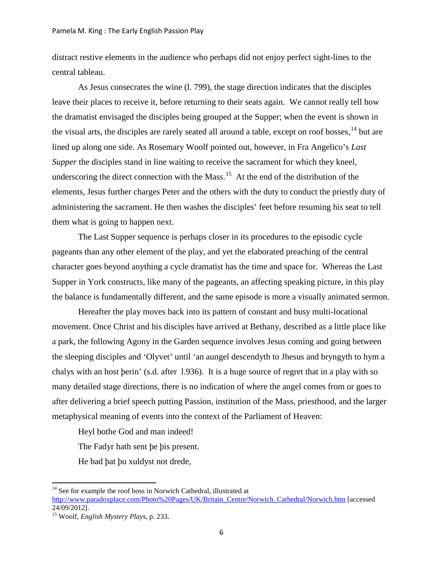distract restive elements in the audience who perhaps did not enjoy perfect sight-lines to the central tableau.

As Jesus consecrates the wine (l. 799), the stage direction indicates that the disciples leave their places to receive it, before returning to their seats again. We cannot really tell how the dramatist envisaged the disciples being grouped at the Supper; when the event is shown in the visual arts, the disciples are rarely seated all around a table, except on roof bosses,  $^{14}$  $^{14}$  $^{14}$  but are lined up along one side. As Rosemary Woolf pointed out, however, in Fra Angelico's *Last Supper* the disciples stand in line waiting to receive the sacrament for which they kneel, underscoring the direct connection with the Mass.<sup>[15](#page-5-1)</sup> At the end of the distribution of the elements, Jesus further charges Peter and the others with the duty to conduct the priestly duty of administering the sacrament. He then washes the disciples' feet before resuming his seat to tell them what is going to happen next.

The Last Supper sequence is perhaps closer in its procedures to the episodic cycle pageants than any other element of the play, and yet the elaborated preaching of the central character goes beyond anything a cycle dramatist has the time and space for. Whereas the Last Supper in York constructs, like many of the pageants, an affecting speaking picture, in this play the balance is fundamentally different, and the same episode is more a visually animated sermon.

Hereafter the play moves back into its pattern of constant and busy multi-locational movement. Once Christ and his disciples have arrived at Bethany, described as a little place like a park, the following Agony in the Garden sequence involves Jesus coming and going between the sleeping disciples and 'Olyvet' until 'an aungel descendyth to Jhesus and bryngyth to hym a chalys with an host þerin' (s.d. after l.936). It is a huge source of regret that in a play with so many detailed stage directions, there is no indication of where the angel comes from or goes to after delivering a brief speech putting Passion, institution of the Mass, priesthood, and the larger metaphysical meaning of events into the context of the Parliament of Heaven:

Heyl bothe God and man indeed!

The Fadyr hath sent þe þis present.

He bad þat þu xuldyst not drede,

<span id="page-5-0"></span> $14$  See for example the roof boss in Norwich Cathedral, illustrated at

[http://www.paradoxplace.com/Photo%20Pages/UK/Britain\\_Centre/Norwich\\_Cathedral/Norwich.htm](http://www.paradoxplace.com/Photo%20Pages/UK/Britain_Centre/Norwich_Cathedral/Norwich.htm) [accessed 24/09/2012].

<span id="page-5-1"></span><sup>15</sup> Woolf, *English Mystery Plays*, p. 233.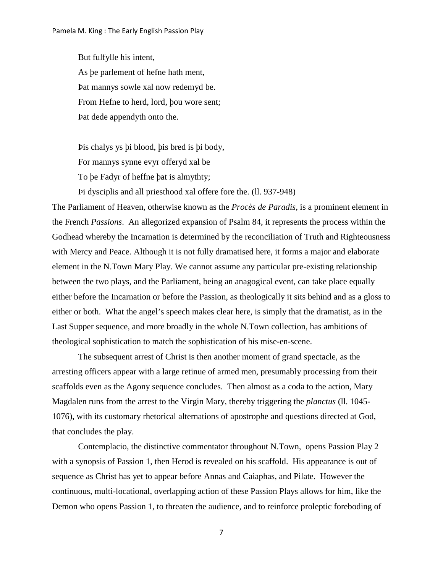But fulfylle his intent, As þe parlement of hefne hath ment, Þat mannys sowle xal now redemyd be. From Hefne to herd, lord, þou wore sent; Þat dede appendyth onto the.

Þis chalys ys þi blood, þis bred is þi body, For mannys synne evyr offeryd xal be To þe Fadyr of heffne þat is almythty;

Þi dysciplis and all priesthood xal offere fore the. (ll. 937-948)

The Parliament of Heaven, otherwise known as the *Procès de Paradis*, is a prominent element in the French *Passions*. An allegorized expansion of Psalm 84, it represents the process within the Godhead whereby the Incarnation is determined by the reconciliation of Truth and Righteousness with Mercy and Peace. Although it is not fully dramatised here, it forms a major and elaborate element in the N.Town Mary Play. We cannot assume any particular pre-existing relationship between the two plays, and the Parliament, being an anagogical event, can take place equally either before the Incarnation or before the Passion, as theologically it sits behind and as a gloss to either or both. What the angel's speech makes clear here, is simply that the dramatist, as in the Last Supper sequence, and more broadly in the whole N.Town collection, has ambitions of theological sophistication to match the sophistication of his mise-en-scene.

The subsequent arrest of Christ is then another moment of grand spectacle, as the arresting officers appear with a large retinue of armed men, presumably processing from their scaffolds even as the Agony sequence concludes. Then almost as a coda to the action, Mary Magdalen runs from the arrest to the Virgin Mary, thereby triggering the *planctus* (ll. 1045- 1076), with its customary rhetorical alternations of apostrophe and questions directed at God, that concludes the play.

Contemplacio, the distinctive commentator throughout N.Town, opens Passion Play 2 with a synopsis of Passion 1, then Herod is revealed on his scaffold. His appearance is out of sequence as Christ has yet to appear before Annas and Caiaphas, and Pilate. However the continuous, multi-locational, overlapping action of these Passion Plays allows for him, like the Demon who opens Passion 1, to threaten the audience, and to reinforce proleptic foreboding of

7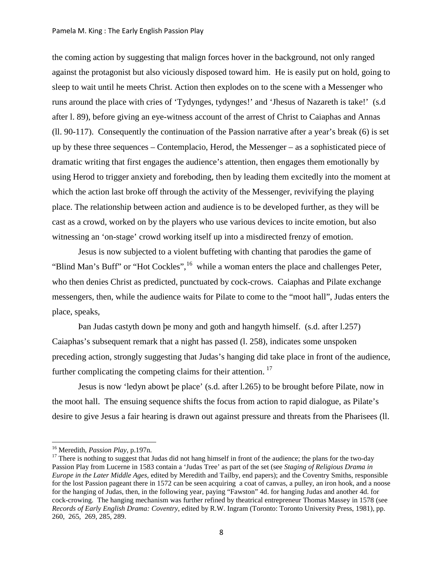the coming action by suggesting that malign forces hover in the background, not only ranged against the protagonist but also viciously disposed toward him. He is easily put on hold, going to sleep to wait until he meets Christ. Action then explodes on to the scene with a Messenger who runs around the place with cries of 'Tydynges, tydynges!' and 'Jhesus of Nazareth is take!' (s.d after l. 89), before giving an eye-witness account of the arrest of Christ to Caiaphas and Annas (ll. 90-117). Consequently the continuation of the Passion narrative after a year's break (6) is set up by these three sequences – Contemplacio, Herod, the Messenger – as a sophisticated piece of dramatic writing that first engages the audience's attention, then engages them emotionally by using Herod to trigger anxiety and foreboding, then by leading them excitedly into the moment at which the action last broke off through the activity of the Messenger, revivifying the playing place. The relationship between action and audience is to be developed further, as they will be cast as a crowd, worked on by the players who use various devices to incite emotion, but also witnessing an 'on-stage' crowd working itself up into a misdirected frenzy of emotion.

Jesus is now subjected to a violent buffeting with chanting that parodies the game of "Blind Man's Buff" or "Hot Cockles", <sup>[16](#page-7-0)</sup> while a woman enters the place and challenges Peter, who then denies Christ as predicted, punctuated by cock-crows. Caiaphas and Pilate exchange messengers, then, while the audience waits for Pilate to come to the "moot hall", Judas enters the place, speaks,

Þan Judas castyth down þe mony and goth and hangyth himself. (s.d. after l.257) Caiaphas's subsequent remark that a night has passed (l. 258), indicates some unspoken preceding action, strongly suggesting that Judas's hanging did take place in front of the audience, further complicating the competing claims for their attention.  $17$ 

Jesus is now 'ledyn abowt þe place' (s.d. after l.265) to be brought before Pilate, now in the moot hall. The ensuing sequence shifts the focus from action to rapid dialogue, as Pilate's desire to give Jesus a fair hearing is drawn out against pressure and threats from the Pharisees (ll.

<span id="page-7-1"></span><span id="page-7-0"></span><sup>&</sup>lt;sup>16</sup> Meredith, *Passion Play*, p.197n.<br><sup>17</sup> There is nothing to suggest that Judas did not hang himself in front of the audience; the plans for the two-day Passion Play from Lucerne in 1583 contain a 'Judas Tree' as part of the set (see *Staging of Religious Drama in Europe in the Later Middle Ages*, edited by Meredith and Tailby, end papers); and the Coventry Smiths, responsible for the lost Passion pageant there in 1572 can be seen acquiring a coat of canvas, a pulley, an iron hook, and a noose for the hanging of Judas, then, in the following year, paying "Fawston" 4d. for hanging Judas and another 4d. for cock-crowing. The hanging mechanism was further refined by theatrical entrepreneur Thomas Massey in 1578 (see *Records of Early English Drama: Coventry*, edited by R.W. Ingram (Toronto: Toronto University Press, 1981), pp. 260, 265, 269, 285, 289.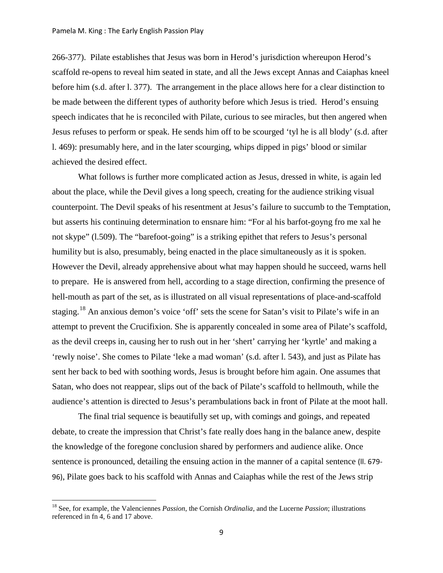266-377). Pilate establishes that Jesus was born in Herod's jurisdiction whereupon Herod's scaffold re-opens to reveal him seated in state, and all the Jews except Annas and Caiaphas kneel before him (s.d. after l. 377). The arrangement in the place allows here for a clear distinction to be made between the different types of authority before which Jesus is tried. Herod's ensuing speech indicates that he is reconciled with Pilate, curious to see miracles, but then angered when Jesus refuses to perform or speak. He sends him off to be scourged 'tyl he is all blody' (s.d. after l. 469): presumably here, and in the later scourging, whips dipped in pigs' blood or similar achieved the desired effect.

What follows is further more complicated action as Jesus, dressed in white, is again led about the place, while the Devil gives a long speech, creating for the audience striking visual counterpoint. The Devil speaks of his resentment at Jesus's failure to succumb to the Temptation, but asserts his continuing determination to ensnare him: "For al his barfot-goyng fro me xal he not skype" (l.509). The "barefoot-going" is a striking epithet that refers to Jesus's personal humility but is also, presumably, being enacted in the place simultaneously as it is spoken. However the Devil, already apprehensive about what may happen should he succeed, warns hell to prepare. He is answered from hell, according to a stage direction, confirming the presence of hell-mouth as part of the set, as is illustrated on all visual representations of place-and-scaffold staging.[18](#page-8-0) An anxious demon's voice 'off' sets the scene for Satan's visit to Pilate's wife in an attempt to prevent the Crucifixion. She is apparently concealed in some area of Pilate's scaffold, as the devil creeps in, causing her to rush out in her 'shert' carrying her 'kyrtle' and making a 'rewly noise'. She comes to Pilate 'leke a mad woman' (s.d. after l. 543), and just as Pilate has sent her back to bed with soothing words, Jesus is brought before him again. One assumes that Satan, who does not reappear, slips out of the back of Pilate's scaffold to hellmouth, while the audience's attention is directed to Jesus's perambulations back in front of Pilate at the moot hall.

The final trial sequence is beautifully set up, with comings and goings, and repeated debate, to create the impression that Christ's fate really does hang in the balance anew, despite the knowledge of the foregone conclusion shared by performers and audience alike. Once sentence is pronounced, detailing the ensuing action in the manner of a capital sentence (ll. 679- 96), Pilate goes back to his scaffold with Annas and Caiaphas while the rest of the Jews strip

<span id="page-8-0"></span><sup>18</sup> See, for example, the Valenciennes *Passion*, the Cornish *Ordinalia*, and the Lucerne *Passion*; illustrations referenced in fn 4, 6 and 17 above.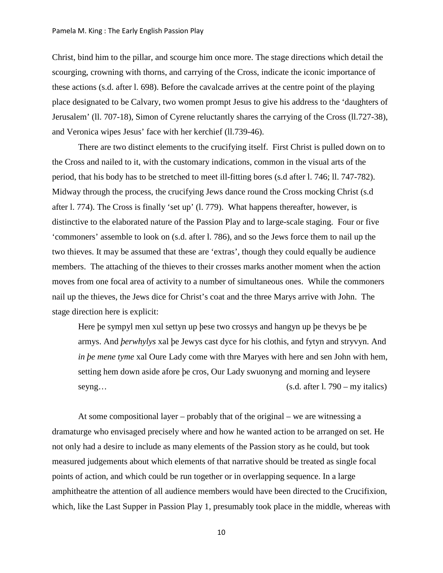Christ, bind him to the pillar, and scourge him once more. The stage directions which detail the scourging, crowning with thorns, and carrying of the Cross, indicate the iconic importance of these actions (s.d. after l. 698). Before the cavalcade arrives at the centre point of the playing place designated to be Calvary, two women prompt Jesus to give his address to the 'daughters of Jerusalem' (ll. 707-18), Simon of Cyrene reluctantly shares the carrying of the Cross (ll.727-38), and Veronica wipes Jesus' face with her kerchief (ll.739-46).

There are two distinct elements to the crucifying itself. First Christ is pulled down on to the Cross and nailed to it, with the customary indications, common in the visual arts of the period, that his body has to be stretched to meet ill-fitting bores (s.d after l. 746; ll. 747-782). Midway through the process, the crucifying Jews dance round the Cross mocking Christ (s.d after l. 774). The Cross is finally 'set up' (l. 779). What happens thereafter, however, is distinctive to the elaborated nature of the Passion Play and to large-scale staging. Four or five 'commoners' assemble to look on (s.d. after l. 786), and so the Jews force them to nail up the two thieves. It may be assumed that these are 'extras', though they could equally be audience members. The attaching of the thieves to their crosses marks another moment when the action moves from one focal area of activity to a number of simultaneous ones. While the commoners nail up the thieves, the Jews dice for Christ's coat and the three Marys arrive with John. The stage direction here is explicit:

Here þe sympyl men xul settyn up þese two crossys and hangyn up þe thevys be þe armys. And *þerwhylys* xal þe Jewys cast dyce for his clothis, and fytyn and stryvyn. And *in þe mene tyme* xal Oure Lady come with thre Maryes with here and sen John with hem, setting hem down aside afore þe cros, Our Lady swuonyng and morning and leysere seyng… (s.d. after l. 790 – my italics)

At some compositional layer – probably that of the original – we are witnessing a dramaturge who envisaged precisely where and how he wanted action to be arranged on set. He not only had a desire to include as many elements of the Passion story as he could, but took measured judgements about which elements of that narrative should be treated as single focal points of action, and which could be run together or in overlapping sequence. In a large amphitheatre the attention of all audience members would have been directed to the Crucifixion, which, like the Last Supper in Passion Play 1, presumably took place in the middle, whereas with

10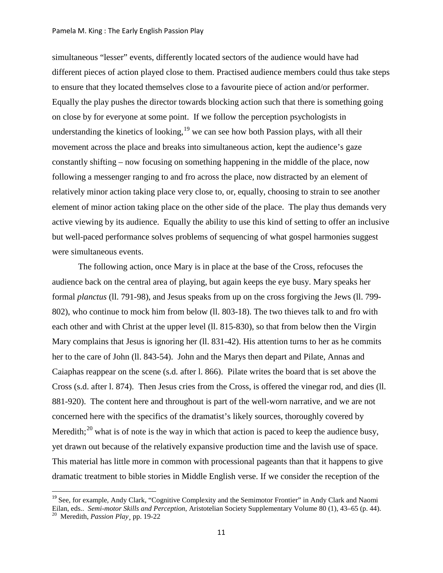simultaneous "lesser" events, differently located sectors of the audience would have had different pieces of action played close to them. Practised audience members could thus take steps to ensure that they located themselves close to a favourite piece of action and/or performer. Equally the play pushes the director towards blocking action such that there is something going on close by for everyone at some point. If we follow the perception psychologists in understanding the kinetics of looking,  $19$  we can see how both Passion plays, with all their movement across the place and breaks into simultaneous action, kept the audience's gaze constantly shifting – now focusing on something happening in the middle of the place, now following a messenger ranging to and fro across the place, now distracted by an element of relatively minor action taking place very close to, or, equally, choosing to strain to see another element of minor action taking place on the other side of the place. The play thus demands very active viewing by its audience. Equally the ability to use this kind of setting to offer an inclusive but well-paced performance solves problems of sequencing of what gospel harmonies suggest were simultaneous events.

The following action, once Mary is in place at the base of the Cross, refocuses the audience back on the central area of playing, but again keeps the eye busy. Mary speaks her formal *planctus* (ll. 791-98), and Jesus speaks from up on the cross forgiving the Jews (ll. 799- 802), who continue to mock him from below (ll. 803-18). The two thieves talk to and fro with each other and with Christ at the upper level (ll. 815-830), so that from below then the Virgin Mary complains that Jesus is ignoring her (ll. 831-42). His attention turns to her as he commits her to the care of John (ll. 843-54). John and the Marys then depart and Pilate, Annas and Caiaphas reappear on the scene (s.d. after l. 866). Pilate writes the board that is set above the Cross (s.d. after l. 874). Then Jesus cries from the Cross, is offered the vinegar rod, and dies (ll. 881-920). The content here and throughout is part of the well-worn narrative, and we are not concerned here with the specifics of the dramatist's likely sources, thoroughly covered by Meredith;<sup>[20](#page-10-1)</sup> what is of note is the way in which that action is paced to keep the audience busy, yet drawn out because of the relatively expansive production time and the lavish use of space. This material has little more in common with processional pageants than that it happens to give dramatic treatment to bible stories in Middle English verse. If we consider the reception of the

<span id="page-10-1"></span><span id="page-10-0"></span><sup>&</sup>lt;sup>19</sup> See, for example, Andy Clark, "Cognitive Complexity and the Semimotor Frontier" in Andy Clark and Naomi Eilan, eds.. *Semi-motor Skills and Perception*, Aristotelian Society Supplementary Volume 80 (1), 43–65 (p. 44).<br><sup>20</sup> Meredith, *Passion Play*, pp. 19-22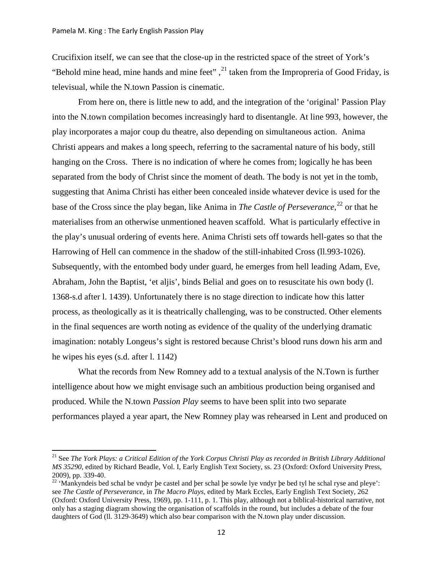Crucifixion itself, we can see that the close-up in the restricted space of the street of York's "Behold mine head, mine hands and mine feet",  $^{21}$  $^{21}$  $^{21}$  taken from the Impropreria of Good Friday, is televisual, while the N.town Passion is cinematic.

From here on, there is little new to add, and the integration of the 'original' Passion Play into the N.town compilation becomes increasingly hard to disentangle. At line 993, however, the play incorporates a major coup du theatre, also depending on simultaneous action. Anima Christi appears and makes a long speech, referring to the sacramental nature of his body, still hanging on the Cross. There is no indication of where he comes from; logically he has been separated from the body of Christ since the moment of death. The body is not yet in the tomb, suggesting that Anima Christi has either been concealed inside whatever device is used for the base of the Cross since the play began, like Anima in *The Castle of Perseverance*, [22](#page-11-1) or that he materialises from an otherwise unmentioned heaven scaffold. What is particularly effective in the play's unusual ordering of events here. Anima Christi sets off towards hell-gates so that the Harrowing of Hell can commence in the shadow of the still-inhabited Cross (ll.993-1026). Subsequently, with the entombed body under guard, he emerges from hell leading Adam, Eve, Abraham, John the Baptist, 'et aljis', binds Belial and goes on to resuscitate his own body (l. 1368-s.d after l. 1439). Unfortunately there is no stage direction to indicate how this latter process, as theologically as it is theatrically challenging, was to be constructed. Other elements in the final sequences are worth noting as evidence of the quality of the underlying dramatic imagination: notably Longeus's sight is restored because Christ's blood runs down his arm and he wipes his eyes (s.d. after l. 1142)

What the records from New Romney add to a textual analysis of the N.Town is further intelligence about how we might envisage such an ambitious production being organised and produced. While the N.town *Passion Play* seems to have been split into two separate performances played a year apart, the New Romney play was rehearsed in Lent and produced on

<span id="page-11-0"></span><sup>21</sup> See *The York Plays: a Critical Edition of the York Corpus Christi Play as recorded in British Library Additional MS 35290*, edited by Richard Beadle, Vol. I, Early English Text Society, ss. 23 (Oxford: Oxford University Press, 2009). pp. 339-40.

<span id="page-11-1"></span><sup>2009),</sup> pp. 339-40.<br><sup>22</sup> 'Mankyndeis bed schal be vndyr þe castel and þer schal þe sowle lye vndyr þe bed tyl he schal ryse and pleye': see *The Castle of Perseverance*, in *The Macro Plays*, edited by Mark Eccles, Early English Text Society, 262 (Oxford: Oxford University Press, 1969), pp. 1-111, p. 1. This play, although not a biblical-historical narrative, not only has a staging diagram showing the organisation of scaffolds in the round, but includes a debate of the four daughters of God (ll. 3129-3649) which also bear comparison with the N.town play under discussion.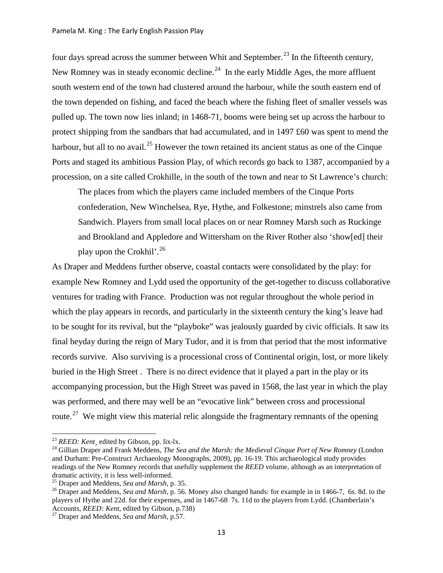four days spread across the summer between Whit and September.<sup>[23](#page-12-0)</sup> In the fifteenth century, New Romney was in steady economic decline.<sup>[24](#page-12-1)</sup> In the early Middle Ages, the more affluent south western end of the town had clustered around the harbour, while the south eastern end of the town depended on fishing, and faced the beach where the fishing fleet of smaller vessels was pulled up. The town now lies inland; in 1468-71, booms were being set up across the harbour to protect shipping from the sandbars that had accumulated, and in 1497 £60 was spent to mend the harbour, but all to no avail.<sup>[25](#page-12-2)</sup> However the town retained its ancient status as one of the Cinque Ports and staged its ambitious Passion Play, of which records go back to 1387, accompanied by a procession, on a site called Crokhille, in the south of the town and near to St Lawrence's church:

The places from which the players came included members of the Cinque Ports confederation, New Winchelsea, Rye, Hythe, and Folkestone; minstrels also came from Sandwich. Players from small local places on or near Romney Marsh such as Ruckinge and Brookland and Appledore and Wittersham on the River Rother also 'show[ed] their play upon the Crokhil'.<sup>[26](#page-12-3)</sup>

As Draper and Meddens further observe, coastal contacts were consolidated by the play: for example New Romney and Lydd used the opportunity of the get-together to discuss collaborative ventures for trading with France. Production was not regular throughout the whole period in which the play appears in records, and particularly in the sixteenth century the king's leave had to be sought for its revival, but the "playboke" was jealously guarded by civic officials. It saw its final heyday during the reign of Mary Tudor, and it is from that period that the most informative records survive. Also surviving is a processional cross of Continental origin, lost, or more likely buried in the High Street . There is no direct evidence that it played a part in the play or its accompanying procession, but the High Street was paved in 1568, the last year in which the play was performed, and there may well be an "evocative link" between cross and processional route.<sup>[27](#page-12-4)</sup> We might view this material relic alongside the fragmentary remnants of the opening

<span id="page-12-1"></span><span id="page-12-0"></span><sup>&</sup>lt;sup>23</sup> *REED: Kent*, edited by Gibson, pp. lix-lx.<br><sup>24</sup> Gillian Draper and Frank Meddens, *The Sea and the Marsh: the Medieval Cinque Port of New Romney* (London and Durham: Pre-Construct Archaeology Monographs, 2009), pp. 16-19. This archaeological study provides readings of the New Romney records that usefully supplement the *REED* volume, although as an interpretation of dramatic activity, it is less well-informed.<br><sup>25</sup> Draper and Meddens, *Sea and Marsh*, p. 35.<br><sup>26</sup> Draper and Meddens, *Sea and Marsh*, p. 56. Money also changed hands: for example in in 1466-7, 6s. 8d. to the

<span id="page-12-2"></span>

<span id="page-12-3"></span>players of Hythe and 22d. for their expenses, and in 1467-68 7s. 11d to the players from Lydd. (Chamberlain's Accounts, *REED*: *Kent*, edited by Gibson, p.738)

<span id="page-12-4"></span><sup>&</sup>lt;sup>27</sup> Draper and Meddens, *Sea and Marsh*, p.57.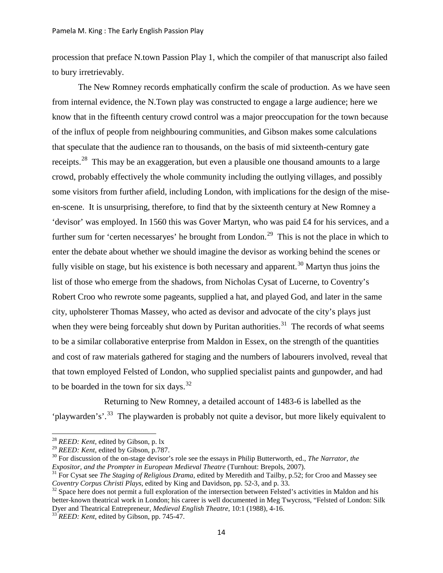procession that preface N.town Passion Play 1*,* which the compiler of that manuscript also failed to bury irretrievably.

The New Romney records emphatically confirm the scale of production. As we have seen from internal evidence, the N.Town play was constructed to engage a large audience; here we know that in the fifteenth century crowd control was a major preoccupation for the town because of the influx of people from neighbouring communities, and Gibson makes some calculations that speculate that the audience ran to thousands, on the basis of mid sixteenth-century gate receipts.<sup>28</sup> This may be an exaggeration, but even a plausible one thousand amounts to a large crowd, probably effectively the whole community including the outlying villages, and possibly some visitors from further afield, including London, with implications for the design of the miseen-scene. It is unsurprising, therefore, to find that by the sixteenth century at New Romney a 'devisor' was employed. In 1560 this was Gover Martyn, who was paid £4 for his services, and a further sum for 'certen necessaryes' he brought from London.<sup>29</sup> This is not the place in which to enter the debate about whether we should imagine the devisor as working behind the scenes or fully visible on stage, but his existence is both necessary and apparent.<sup>[30](#page-13-2)</sup> Martyn thus joins the list of those who emerge from the shadows, from Nicholas Cysat of Lucerne, to Coventry's Robert Croo who rewrote some pageants, supplied a hat, and played God, and later in the same city, upholsterer Thomas Massey, who acted as devisor and advocate of the city's plays just when they were being forceably shut down by Puritan authorities.<sup>31</sup> The records of what seems to be a similar collaborative enterprise from Maldon in Essex, on the strength of the quantities and cost of raw materials gathered for staging and the numbers of labourers involved, reveal that that town employed Felsted of London, who supplied specialist paints and gunpowder, and had to be boarded in the town for six days.<sup>[32](#page-13-4)</sup>

Returning to New Romney, a detailed account of 1483-6 is labelled as the 'playwarden's'.<sup>[33](#page-13-5)</sup> The playwarden is probably not quite a devisor, but more likely equivalent to

<span id="page-13-0"></span><sup>&</sup>lt;sup>28</sup> *REED: Kent,* edited by Gibson, p. lx<br><sup>29</sup> *REED: Kent,* edited by Gibson, p.787.

<span id="page-13-2"></span><span id="page-13-1"></span><sup>&</sup>lt;sup>30</sup> For discussion of the on-stage devisor's role see the essays in Philip Butterworth, ed., *The Narrator, the Expositor, and the Prompter in European Medieval Theatre* (Turnhout: Brepols, 2007).

<span id="page-13-3"></span><sup>&</sup>lt;sup>31</sup> For Cysat see *The Staging of Religious Drama*, edited by Meredith and Tailby, p.52; for Croo and Massey see *Coventry Corpus Christi Plays*, edited by King and Davidson, pp. 52-3, and p. 33.

<span id="page-13-4"></span><sup>&</sup>lt;sup>32</sup> Space here does not permit a full exploration of the intersection between Felsted's activities in Maldon and his better-known theatrical work in London; his career is well documented in Meg Twycross, "Felsted of London: Silk Dyer and Theatrical Entrepreneur, *Medieval English Theatre*, 10:1 (1988), 4-16. <sup>33</sup> *REED: Kent,* edited by Gibson, pp. 745-47.

<span id="page-13-5"></span>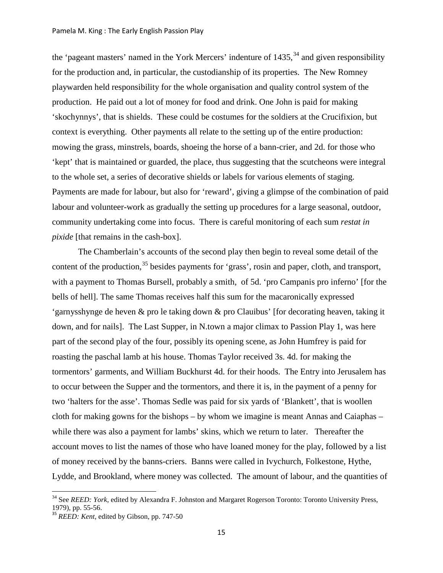the 'pageant masters' named in the York Mercers' indenture of  $1435$ ,  $34$  and given responsibility for the production and, in particular, the custodianship of its properties. The New Romney playwarden held responsibility for the whole organisation and quality control system of the production. He paid out a lot of money for food and drink. One John is paid for making 'skochynnys', that is shields. These could be costumes for the soldiers at the Crucifixion, but context is everything. Other payments all relate to the setting up of the entire production: mowing the grass, minstrels, boards, shoeing the horse of a bann-crier, and 2d. for those who 'kept' that is maintained or guarded, the place, thus suggesting that the scutcheons were integral to the whole set, a series of decorative shields or labels for various elements of staging. Payments are made for labour, but also for 'reward', giving a glimpse of the combination of paid labour and volunteer-work as gradually the setting up procedures for a large seasonal, outdoor, community undertaking come into focus. There is careful monitoring of each sum *restat in pixide* [that remains in the cash-box].

The Chamberlain's accounts of the second play then begin to reveal some detail of the content of the production,<sup>[35](#page-14-1)</sup> besides payments for 'grass', rosin and paper, cloth, and transport, with a payment to Thomas Bursell, probably a smith, of 5d. 'pro Campanis pro inferno' [for the bells of hell]. The same Thomas receives half this sum for the macaronically expressed 'garnysshynge de heven & pro le taking down & pro Clauibus' [for decorating heaven, taking it down, and for nails]. The Last Supper, in N.town a major climax to Passion Play 1, was here part of the second play of the four, possibly its opening scene, as John Humfrey is paid for roasting the paschal lamb at his house. Thomas Taylor received 3s. 4d. for making the tormentors' garments, and William Buckhurst 4d. for their hoods. The Entry into Jerusalem has to occur between the Supper and the tormentors, and there it is, in the payment of a penny for two 'halters for the asse'. Thomas Sedle was paid for six yards of 'Blankett', that is woollen cloth for making gowns for the bishops – by whom we imagine is meant Annas and Caiaphas – while there was also a payment for lambs' skins, which we return to later. Thereafter the account moves to list the names of those who have loaned money for the play, followed by a list of money received by the banns-criers. Banns were called in Ivychurch, Folkestone, Hythe, Lydde, and Brookland, where money was collected. The amount of labour, and the quantities of

<span id="page-14-0"></span><sup>&</sup>lt;sup>34</sup> See *REED: York*, edited by Alexandra F. Johnston and Margaret Rogerson Toronto: Toronto University Press, 1979), pp. 55-56.

<span id="page-14-1"></span><sup>&</sup>lt;sup>35</sup> *REED: Kent,* edited by Gibson, pp. 747-50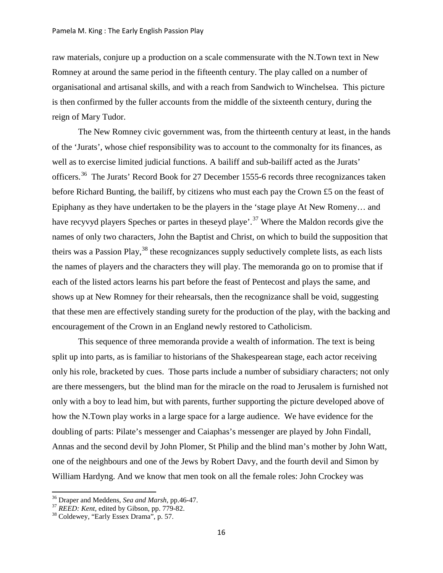raw materials, conjure up a production on a scale commensurate with the N.Town text in New Romney at around the same period in the fifteenth century. The play called on a number of organisational and artisanal skills, and with a reach from Sandwich to Winchelsea. This picture is then confirmed by the fuller accounts from the middle of the sixteenth century, during the reign of Mary Tudor.

The New Romney civic government was, from the thirteenth century at least, in the hands of the 'Jurats', whose chief responsibility was to account to the commonalty for its finances, as well as to exercise limited judicial functions. A bailiff and sub-bailiff acted as the Jurats' officers.<sup>[36](#page-15-0)</sup> The Jurats' Record Book for 27 December 1555-6 records three recognizances taken before Richard Bunting, the bailiff, by citizens who must each pay the Crown £5 on the feast of Epiphany as they have undertaken to be the players in the 'stage playe At New Romeny… and have recyvyd players Speches or partes in theseyd playe'.<sup>[37](#page-15-1)</sup> Where the Maldon records give the names of only two characters, John the Baptist and Christ, on which to build the supposition that theirs was a Passion Play,  $38$  these recognizances supply seductively complete lists, as each lists the names of players and the characters they will play. The memoranda go on to promise that if each of the listed actors learns his part before the feast of Pentecost and plays the same, and shows up at New Romney for their rehearsals, then the recognizance shall be void, suggesting that these men are effectively standing surety for the production of the play, with the backing and encouragement of the Crown in an England newly restored to Catholicism.

This sequence of three memoranda provide a wealth of information. The text is being split up into parts, as is familiar to historians of the Shakespearean stage, each actor receiving only his role, bracketed by cues. Those parts include a number of subsidiary characters; not only are there messengers, but the blind man for the miracle on the road to Jerusalem is furnished not only with a boy to lead him, but with parents, further supporting the picture developed above of how the N.Town play works in a large space for a large audience. We have evidence for the doubling of parts: Pilate's messenger and Caiaphas's messenger are played by John Findall, Annas and the second devil by John Plomer, St Philip and the blind man's mother by John Watt, one of the neighbours and one of the Jews by Robert Davy, and the fourth devil and Simon by William Hardyng. And we know that men took on all the female roles: John Crockey was

<span id="page-15-0"></span><sup>&</sup>lt;sup>36</sup> Draper and Meddens, *Sea and Marsh*, pp.46-47.<br><sup>37</sup> *REED: Kent*, edited by Gibson, pp. 779-82.<br><sup>38</sup> Coldewey, "Early Essex Drama", p. 57.

<span id="page-15-1"></span>

<span id="page-15-2"></span>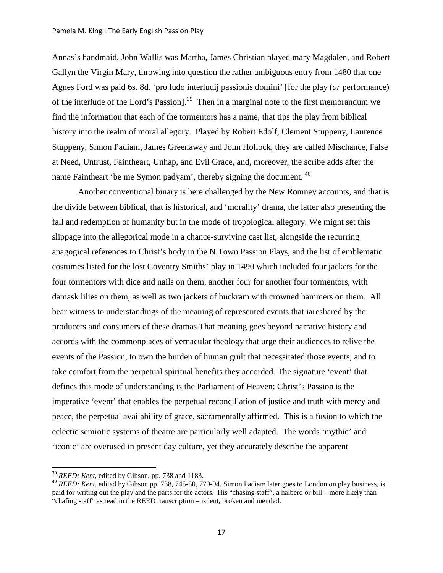Annas's handmaid, John Wallis was Martha, James Christian played mary Magdalen, and Robert Gallyn the Virgin Mary, throwing into question the rather ambiguous entry from 1480 that one Agnes Ford was paid 6s. 8d. 'pro ludo interludij passionis domini' [for the play (*or* performance) of the interlude of the Lord's Passion].<sup>[39](#page-16-0)</sup> Then in a marginal note to the first memorandum we find the information that each of the tormentors has a name, that tips the play from biblical history into the realm of moral allegory. Played by Robert Edolf, Clement Stuppeny, Laurence Stuppeny, Simon Padiam, James Greenaway and John Hollock, they are called Mischance, False at Need, Untrust, Faintheart, Unhap, and Evil Grace, and, moreover, the scribe adds after the name Faintheart 'be me Symon padyam', thereby signing the document. <sup>[40](#page-16-1)</sup>

Another conventional binary is here challenged by the New Romney accounts, and that is the divide between biblical, that is historical, and 'morality' drama, the latter also presenting the fall and redemption of humanity but in the mode of tropological allegory. We might set this slippage into the allegorical mode in a chance-surviving cast list, alongside the recurring anagogical references to Christ's body in the N.Town Passion Plays, and the list of emblematic costumes listed for the lost Coventry Smiths' play in 1490 which included four jackets for the four tormentors with dice and nails on them, another four for another four tormentors, with damask lilies on them, as well as two jackets of buckram with crowned hammers on them. All bear witness to understandings of the meaning of represented events that iareshared by the producers and consumers of these dramas.That meaning goes beyond narrative history and accords with the commonplaces of vernacular theology that urge their audiences to relive the events of the Passion, to own the burden of human guilt that necessitated those events, and to take comfort from the perpetual spiritual benefits they accorded. The signature 'event' that defines this mode of understanding is the Parliament of Heaven; Christ's Passion is the imperative 'event' that enables the perpetual reconciliation of justice and truth with mercy and peace, the perpetual availability of grace, sacramentally affirmed. This is a fusion to which the eclectic semiotic systems of theatre are particularly well adapted. The words 'mythic' and 'iconic' are overused in present day culture, yet they accurately describe the apparent

<span id="page-16-1"></span>

<span id="page-16-0"></span><sup>&</sup>lt;sup>39</sup> *REED: Kent*, edited by Gibson, pp. 738 and 1183.<br><sup>40</sup> *REED: Kent*, edited by Gibson pp. 738, 745-50, 779-94. Simon Padiam later goes to London on play business, is paid for writing out the play and the parts for the actors. His "chasing staff", a halberd or bill – more likely than "chafing staff" as read in the REED transcription – is lent, broken and mended.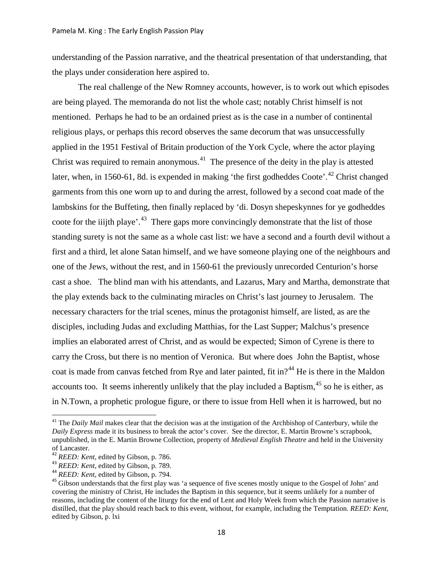understanding of the Passion narrative, and the theatrical presentation of that understanding, that the plays under consideration here aspired to.

The real challenge of the New Romney accounts, however, is to work out which episodes are being played. The memoranda do not list the whole cast; notably Christ himself is not mentioned. Perhaps he had to be an ordained priest as is the case in a number of continental religious plays, or perhaps this record observes the same decorum that was unsuccessfully applied in the 1951 Festival of Britain production of the York Cycle, where the actor playing Christ was required to remain anonymous. $41$  The presence of the deity in the play is attested later, when, in 1560-61, 8d. is expended in making 'the first godheddes Coote'.<sup>[42](#page-17-1)</sup> Christ changed garments from this one worn up to and during the arrest, followed by a second coat made of the lambskins for the Buffeting, then finally replaced by 'di. Dosyn shepeskynnes for ye godheddes coote for the iiijth playe'.<sup>43</sup> There gaps more convincingly demonstrate that the list of those standing surety is not the same as a whole cast list: we have a second and a fourth devil without a first and a third, let alone Satan himself, and we have someone playing one of the neighbours and one of the Jews, without the rest, and in 1560-61 the previously unrecorded Centurion's horse cast a shoe. The blind man with his attendants, and Lazarus, Mary and Martha, demonstrate that the play extends back to the culminating miracles on Christ's last journey to Jerusalem. The necessary characters for the trial scenes, minus the protagonist himself, are listed, as are the disciples, including Judas and excluding Matthias, for the Last Supper; Malchus's presence implies an elaborated arrest of Christ, and as would be expected; Simon of Cyrene is there to carry the Cross, but there is no mention of Veronica. But where does John the Baptist, whose coat is made from canvas fetched from Rye and later painted, fit in?<sup>[44](#page-17-3)</sup> He is there in the Maldon accounts too. It seems inherently unlikely that the play included a Baptism, <sup>[45](#page-17-4)</sup> so he is either, as in N.Town, a prophetic prologue figure, or there to issue from Hell when it is harrowed, but no

<span id="page-17-0"></span><sup>&</sup>lt;sup>41</sup> The *Daily Mail* makes clear that the decision was at the instigation of the Archbishop of Canterbury, while the *Daily Express* made it its business to break the actor's cover. See the director, E. Martin Browne's scrapbook, unpublished, in the E. Martin Browne Collection, property of *Medieval English Theatre* and held in the University of Lancaster.

<span id="page-17-4"></span><span id="page-17-3"></span>

<span id="page-17-2"></span><span id="page-17-1"></span><sup>&</sup>lt;sup>42</sup> *REED: Kent*, edited by Gibson, p. 786.<br><sup>43</sup> *REED: Kent*, edited by Gibson, p. 789.<br><sup>44</sup> *REED: Kent*, edited by Gibson, p. 794.<br><sup>45</sup> Gibson understands that the first play was 'a sequence of five scenes mostly uniq covering the ministry of Christ, He includes the Baptism in this sequence, but it seems unlikely for a number of reasons, including the content of the liturgy for the end of Lent and Holy Week from which the Passion narrative is distilled, that the play should reach back to this event, without, for example, including the Temptation. *REED: Kent,* edited by Gibson, p. lxi